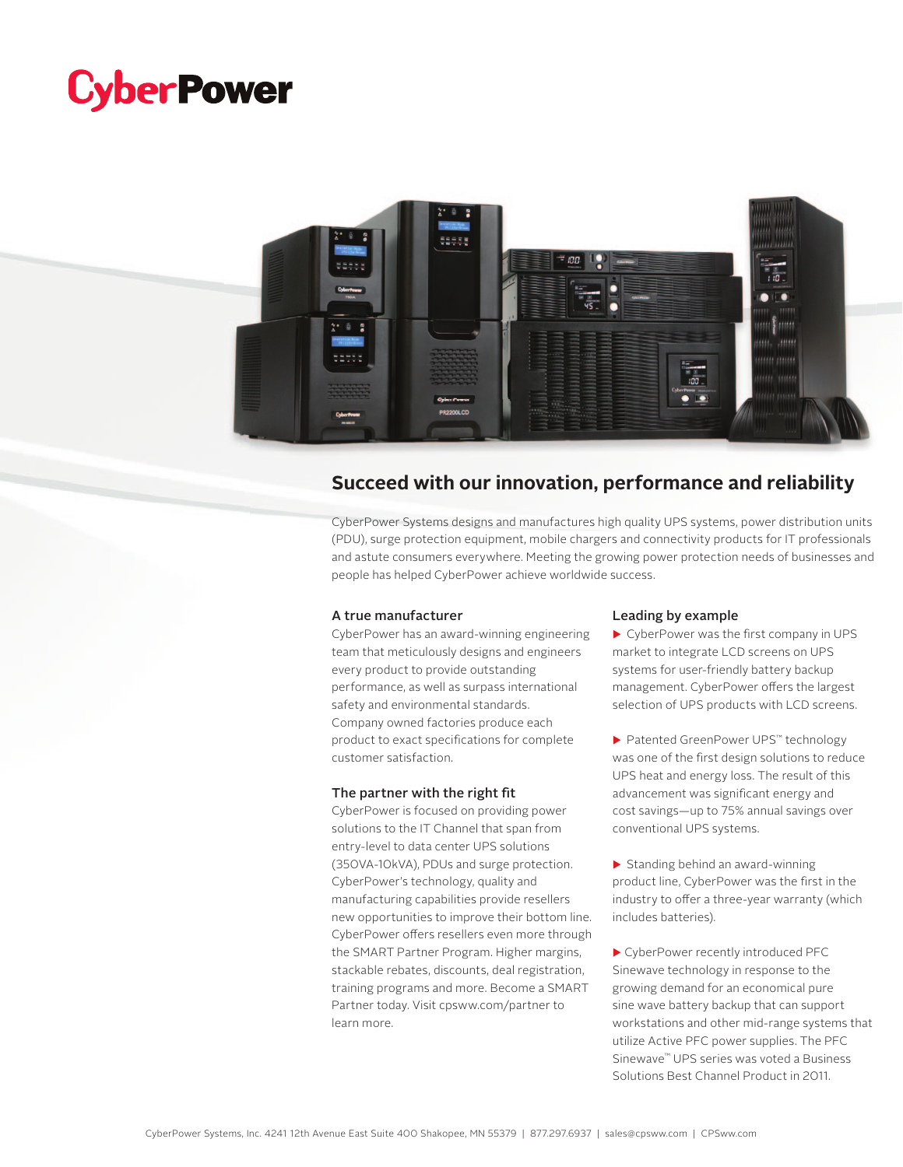# **CyberPower**



## **Succeed with our innovation, performance and reliability**

CyberPower Systems designs and manufactures high quality UPS systems, power distribution units (PDU), surge protection equipment, mobile chargers and connectivity products for IT professionals and astute consumers everywhere. Meeting the growing power protection needs of businesses and people has helped CyberPower achieve worldwide success.

#### A true manufacturer

CyberPower has an award-winning engineering team that meticulously designs and engineers every product to provide outstanding performance, as well as surpass international safety and environmental standards. Company owned factories produce each product to exact specifications for complete customer satisfaction.

#### The partner with the right fit

CyberPower is focused on providing power solutions to the IT Channel that span from entry-level to data center UPS solutions (350VA-10kVA), PDUs and surge protection. CyberPower's technology, quality and manufacturing capabilities provide resellers new opportunities to improve their bottom line. CyberPower offers resellers even more through the SMART Partner Program. Higher margins, stackable rebates, discounts, deal registration, training programs and more. Become a SMART Partner today. Visit cpsww.com/partner to learn more.

#### Leading by example

 $\blacktriangleright$  CyberPower was the first company in UPS market to integrate LCD screens on UPS systems for user-friendly battery backup management. CyberPower offers the largest selection of UPS products with LCD screens.

▶ Patented GreenPower UPS™ technology was one of the first design solutions to reduce UPS heat and energy loss. The result of this advancement was significant energy and cost savings—up to 75% annual savings over conventional UPS systems.

 $\triangleright$  Standing behind an award-winning product line, CyberPower was the first in the industry to offer a three-year warranty (which includes batteries).

▶ CyberPower recently introduced PFC Sinewave technology in response to the growing demand for an economical pure sine wave battery backup that can support workstations and other mid-range systems that utilize Active PFC power supplies. The PFC Sinewave™ UPS series was voted a Business Solutions Best Channel Product in 2011.